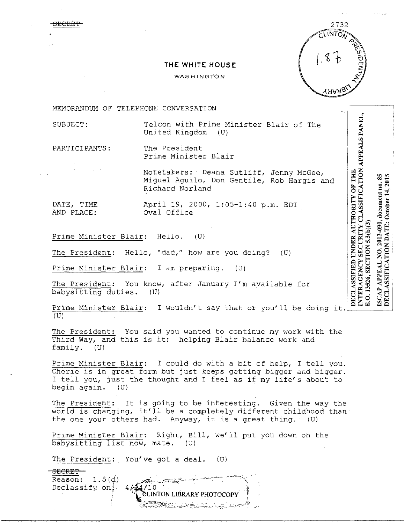## **THE WHITE HOUSE**

## **WASHINGTON**



INTERAGENCY SECURITY CLASSIFICATION APPEALS PANEL,

 $5.3(b)(3)$ 

E.O. 13526, SECTION **APPEAL** 

 $85$ 

NO. 2013-090, document no.

ISCAP

DECLASSIFICATION DATE: October 14, 2015

DECLASSIFIED UNDER AUTHORITY OF THE

MEMORANDUM OF TELEPHONE CONVERSATION

SUBJECT: Telcon with Prime Minister Blair of The United Kingdom (U)

<del>3ECP.E9</del>

PARTICIPANTS: The President Prime Minister Blair

> Notetakers: Deana Sutliff, Jenny McGee, Miguel Aguila, Don Gentile, Rob Hargis and Richard Norland

DATE, TIME April 19, 2000, 1:05-1:40 p.m. EDT Oval Office

Prime Minister Blair: Hello. (U)

The President: Hello, •dad," how are you doing? (U)

Prime Minister Blair: I am preparing. (U)

The President: You know, after January I'm available for babysitting duties. (U)

Prime Minister Blair: I wouldn't say that or you'll be doing it.  $(U)$ 

The President: You said you wanted to continue my work with the Third Way, and this is it: helping Blair balance work and family. (U)

Prime Minister Blair: I could do with a bit of help, I tell you. Cherie is in great form but just keeps getting bigger and bigger. I tell you, just the thought and I feel as if my life's about to begin again. (U)

The President: It is going to be interesting. Given the way the world is changing, it'll be a completely different childhood than· the one your others had. Anyway, it is a great thing. (U)

Prime Minister Blair: Right, Bill, we'll put you down on the babysitting list now, mate. (U)

The President: You've got a deal. (U)

3ECRE'f' Reason: 1.S(d) Declassify on: SLINTON LIBRARY PHOTOCOPY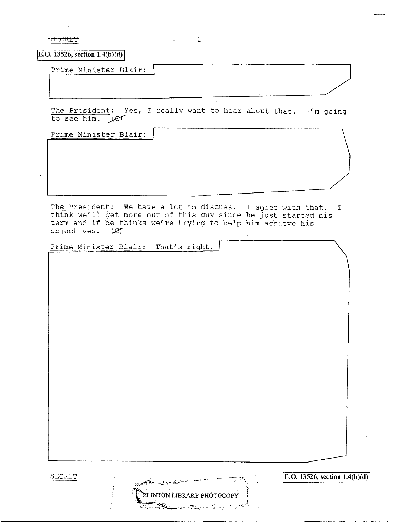$\overline{\text{SECRET}}$  2

 $\boxed{E.O. 13526, section 1.4(b)(d)}$ 

Prime Minister Blair:

The President: Yes, I really want to hear about that. I'm going<br>to see him. Let

 $\Box$ 

Prime Minister Blair:

The President: We have a lot to discuss. I agree with that. <sup>I</sup> think we'll get more out of this guy since he just started his term and if he thinks we're trying to help him achieve his objectives. (et

**INTON LIBRARY PHÓTOCOPY** 

Prime Minister Blair: That's right.

**<u>EECRET</u> IE.O. 13526, section 1.4(b)(d) IE.O. IE.O. 13526, section 1.4(b)(d)**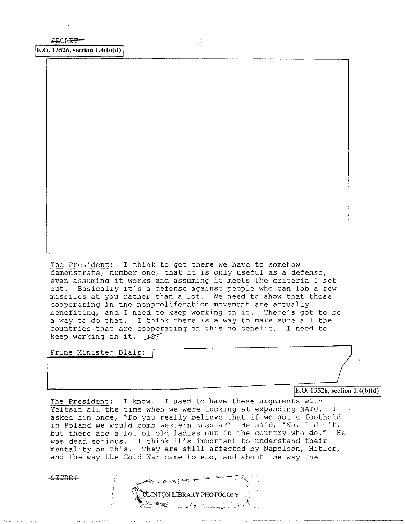**[E.O. 13526, section 1.4(b)(d)** 

The President: I think to get there we have to somehow demonstrate, number one, that it *is* only useful as a defense, even assuming it works and assuming it meets the criteria I set out. Basically it's a defense against people who can lob a few missiles at you rather than a lot. We need to show that those cooperating in the nonproliferation movement are actually benefiting, and I need to keep working on it. There's got to be a way to do that. I think there is a way to make sure all the countries that are cooperating on this do benefit. I need to keep working on it.  $\sqrt{81}$ 

Prime Minister Blair:

**JE.O. 13526, section 1.4(b)(d)** 

The President: I know. I used to have these arguments with Yeltsin all the time when we were looking at expanding NATO. I asked him once, "Do you really believe that if we got a foothold in Poland we would bomb western Russia?" He said, "No, I don't, but there are a lot of old ladies out in the country who do." He but there are a lot of old fadies out in the country who do.<br>was dead serious. I think it's important to understand their was dead serious. I think it s important to understand their<br>mentality on this. They are still affected by Napoleon, Hitler, and the way the Cold War came to end, and about the way the

**NTON LIBRARY PHOTOCOPY** 

**SECRE'l?**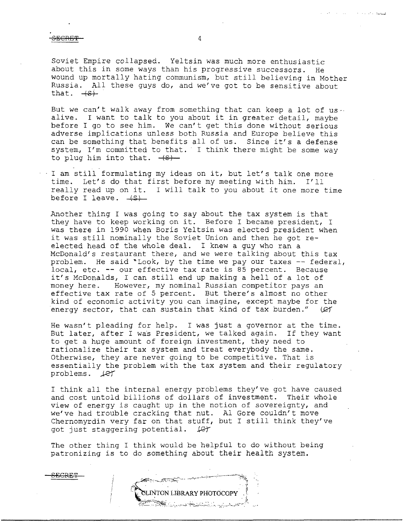SECRET

Soviet Empire collapsed. Yeltsin was much more enthusiastic about this in some ways than his progressive successors. He wound up mortally hating communism, but still believing in Mother Russia. All these guys do, and we've got to be sensitive about that.  $+S$ .

But we can't walk away from something that can keep a lot of usalive. I want to talk to you about it in greater detail, maybe before I go to see him. We can't get this done without serious adverse implications unless both Russia and Europe believe this can be something that benefits all of us. Since it's a defense system, I'm committed to that. I think there might be some way to plug him into that.  $-(8)$ 

I am still formulating my ideas on it, but let's talk one more time. Let's do that first before my meeting with him. I'll really read up on it. I will talk to you about it one more time before I leave.  $+$ s $+$ 

Another thing I was going to say about the tax system is that they have to keep working on it. Before I became president, I was there in 1990 when Boris Yeltsin was elected president when it was still nominally the Soviet Union and then he got reelected head of the whole deal. I knew a guy who ran a McDonald's restaurant there, and we were talking about this tax problem. He said "Look, by the time we pay our taxes -- federal, local, etc. -- our effective tax rate is 85 percent. Because it's McDonalds, I can still end up making a hell of a lot of money here. However, my nominal Russian competitor pays an effective tax rate of 5 percent. But there's almost no other kind of economic activity you can imagine, except maybe for the energy sector, that can sustain that kind of tax burden."  $|C|$ 

He wasn't pleading for help. I was just a governor at the time. But later, after I was President, we talked again. If they want to get a huge amount of foreign investment, they need to rationalize their tax system and treat everybody the same. Otherwise, they are never going to be competitive. That is essentially the problem with the tax system and their regulatory problems.  $LET$ 

I think all the internal energy problems they've got have caused and cost untold billions of dollars of investment. Their whole view of energy is caught up in the notion of sovereignty, and we've had trouble cracking that nut. Al Gore couldn't move Chernomyrdin very far on that stuff, but I still think they've got just staggering potential.  $\mathcal{L}$ got just staggering potential.

The other thing I think would be helpful to do without being patronizing is to do something about their health system.



.. ' .. : \_\_ ,\_....!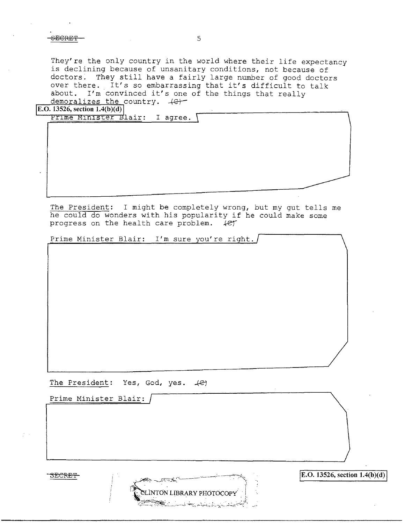$S_{\text{ECRET}}$  5

They're the only country in the world where their life expectancy is declining because of unsanitary conditions, not because of doctors. They still have a fairly large number of good doctors over there. It's so embarrassing that it's difficult to talk about. I'm convinced it's one of the things that really  $demoralizes the country. + $\leftrightarrow$$ 

**E.O.** 13526, section  $1.4(b)(d)$ 

|  | Prime Minister Blair: I agree. |  |
|--|--------------------------------|--|
|  |                                |  |
|  |                                |  |
|  |                                |  |
|  |                                |  |
|  |                                |  |
|  |                                |  |
|  |                                |  |

The President: I might be completely wrong, but my gut tells me he could do wonders with his popularity if he could make some progress on the health care problem. *... let* 

Prime Minister Blair: I'm sure you're right.

The President: Yes, God, yes.  $+e^z$ 

Prime Minister Blair:

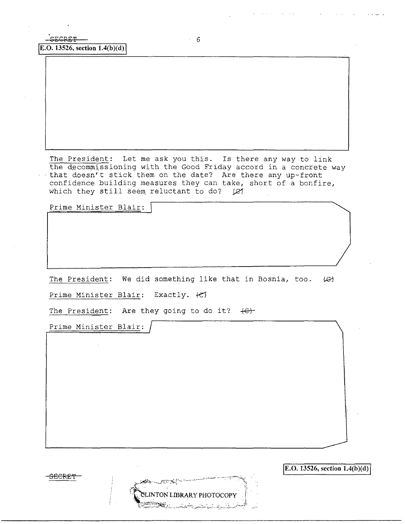$E.D. 13526, section 1.4(b)(d)$ 

The President: Let me ask you this. Is there any way to link the decommissioning with the Good Friday accord in a concrete way - that doesn't stick them on the date? Are there any up-front confidence building measures they can take, short of a bonfire, which they still seem reluctant to do?  $|Q|$ 

Prime Minister Blair:

The President: We did something like that in Bosnia, too.  $(\mathcal{G})$ 

NTON LIBRARY PHOTOCOPY

Prime Minister Blair: Exactly. fC)

The President: Are they going to do it? **+et**

Prime Minister Blair:

**SECRE'f** 

**E.O. 13526, section 1.4(b)(d)**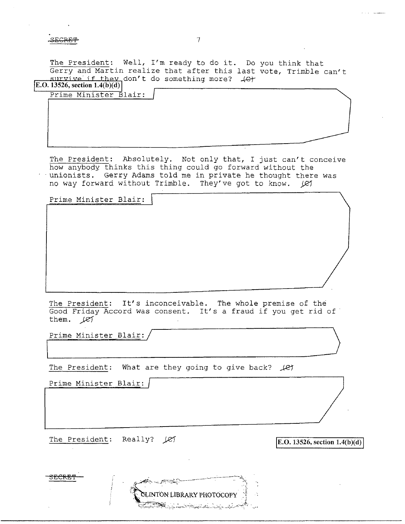**aEGRET** 7

The President: Well, I'm ready to do it. Do you think that Gerry and Martin realize that after this last vote, Trimble can't  $\frac{\text{survive if they}}{\text{E.0.13526, section 1.4(b)(d))}}$ 

| $\cup$ . 19940, stelion 1.4(9/(9) |  |
|-----------------------------------|--|
| Prime Minister Blair:             |  |

The President: Absolutely. Not only that, I just can't conceive how anybody thinks this thing could go forward without the - unionists. Gerry Adams told me in private he thought there was no way forward without Trimble. They've got to know.  $\cancel{(}e\cancel{)}$ 

Prime Minister Blair:

The President: It's inconceivable. The whole premise of the Good Friday Accord was consent. It's a fraud if you get rid of them. *)zJ* 

Prime Minister Blair:/

The President: What are they going to give back? *Je'f* 

∠ದ್ದಾರೆ.

INTON LIBRARY PHOTOCOPY

Prime Minister Blair:

**3ECRE'I'** 

The President: Really? (21 **IE.O. 13526, section 1.4(b)(d)**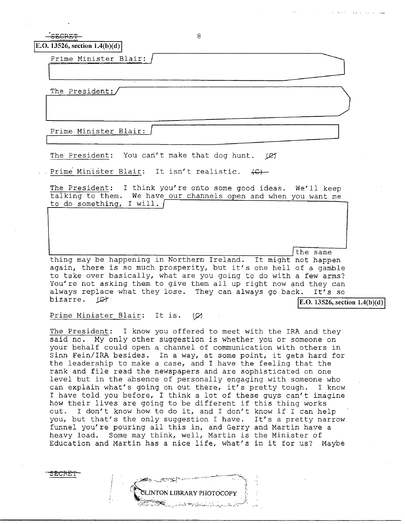.<br>SECRET

8

ILT-h-e~P-r-e-si-·d\_e\_n\_t\_=\_/~~~~~~~~~~~~~~~~~~~~~

 $E.$ O. 13526, section 1.4(b)(d)

Prime Minister Blair:

The President:

Prime Minister Blair:  $\Box$ 

The President: You can't make that dog hunt. *IC1* 

Prime Minister Blair: It isn't realistic.  $\left\langle \mathsf{C} \right\rangle$ -

The President: I think you're onto some good ideas. We'll keep talking to them. We have our channels open and when you want me to do something, I will.

'---,-~~~~~-,-~~---,~~,.----,~-,-~~--::-~::----:~--:~~.,..-,.-----' /the same thing may be happening in Northern Ireland. It might not happen again, there is so much prosperity, but it's one hell of a gamble to take over basically, what are you going to do with a few arms? You're not asking them to give them all up right now and they can

always replace what they lose. They can always go back. It's so<br>bizarre.  $(\mathcal{L})$  $$ 

Prime Minister Blair: It is.  $\varnothing$ 

 $\mathscr{V}$ 

<?'-~.;.. -..,,\_:.:~'---

The President: I know you offered to meet with the IRA and they said no. My only other suggestion is whether you or someone on your behalf could open a channel of communication with others in Sinn Fein/IRA besides. In a way, at some point, it gets hard for the leadership to make a case, and I have the feeling that the rank and file read the newspapers and are sophisticated on one level but in the absence of personally engaging with someone who can explain what's going on out there, it's pretty tough. I know I have told you before, I think a lot of these guys can't imagine how their lives are going to be different if this thing works out. I don't know how to do it, and I don't know if I can help you, but that's the only suggestion I have. It's a pretty narrow funnel you're pouring all this in, and Gerry and Martin have a heavy load. Some may think, well, Martin is the Minister of Education and Martin has a nice life, what's in it for us? Maybe

-,.;,~,i'' ~--- -~ ---.-~----:~\,

~~\ --=:,---~,~~ - -:. \_\_ ~..:;-''·---·.::-.\_,-;'",:"'- .

LINTON LIBRARY PHOTOCOPY

 $\ddot{.}$ 

3ECRE'f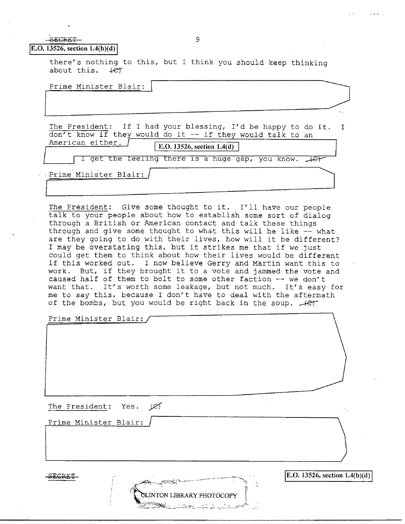## $SERCRFT$  9

 $|E.O. 13526$ , section  $1.4(b)(d)$ 

there's nothing to this, but I think you should keep thinking about this. *.+er* 

<u>ILING IIIIIIO COL DIGILI.</u>

 $\mathbf{T}$ The President: If I had your blessing, I'd be happy to do it. don't know if they would do it -- if they would talk to an abilit know if they would go it. If they would talk to all

sat $\mathbb{Z}_2$  and  $\mathbb{Z}_2$  referred to the contribution of  $\mathbb{Z}_2$ 

E.O. 13526, section  $1.4(d)$ 

I get the feeling there is a huge gap, you know.  $\sqrt{c}$ 

. Prime Minister Blair: /

The President: Give some thought to it. I'll have our people talk to your people about how to establish some sort of dialog through a British or American contact and talk these things through and give some thought to what this will be like -- what are they going to do with their lives, how will it be different? I may be overstating this, but it strikes me that if we just could get them to think about how their lives would be different if this worked out. I now believe Gerry and Martin want this to work. But, if they brought it to a vote and jammed the vote and caused half of them to bolt to some other faction -- we don't want that. It's worth some leakage, but not much. It's easy for me to say this, because I don't have to deal with the aftermath of the bombs, but you would be right back in the soup. *-ter* 

**SLINTON LIBRARY PHOTOCOPY** 

BS .

Prime Minister Blair:

The President: Yes.  $\cancel{\varnothing}$ 

Prime Minister Blair:

ECRET:

 $\mathbf{E}.\mathbf{O}.\mathbf{13526}$ , section  $\mathbf{1.4(b)(d)}$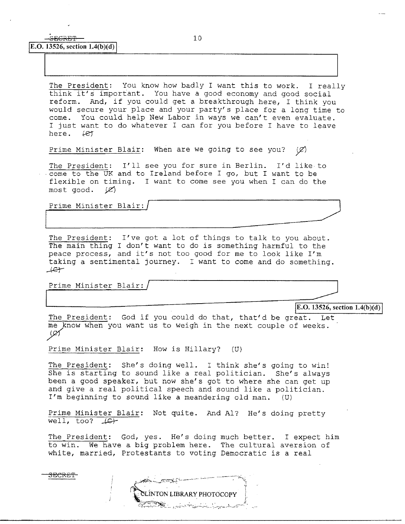The President: You know how badly I want this to work. I really think it's important. You have a good economy and good social reform. And, if you could get a breakthrough here, I think you would secure your place and your party's place for a long time to come. You could help New Labor in ways we can't even evaluate. I just want to do whatever I can for you before I have to leave here.  $\angle$  427 here.

Prime Minister Blair: When are we going to see you?  $(\varnothing)$ 

The President: I'll see you for sure in Berlin. I'd like to come to the UK and to Ireland before I go, but I want to be flexible on timing. I want to come see you when I can do the most good.  $\mathscr{L}$ 

Prime Minister Blair:/

The President: I've got a lot of things to talk to you about. The main thing I don't want to do is something harmful to the peace process, and it's not too good for me to look like I'm taking a sentimental journey. I want to come and do something .  $A$ 

Prime Minister Blair:/

SECRET

**JE.O. 13526, section 1.4(b)(d)** 

The President: God if you could do that, that'd be great. Let me know when you want us to weigh in the next couple of weeks.  $40/$ 

Prime Minister Blair: How is Hillary? (U)

The President: She's doing well. I think she's going to win! She is starting to sound like a real politician. She's always been a good speaker, but now she's got to where she can get up and give a real political speech and sound like a politician. I'm beginning to sound like a meandering old man. (U)

Prime Minister Blair: Not quite. And Al? He's doing pretty well, too?  $\sqrt{c+1}$ 

The President: God, yes. He's doing much better. I expect him to win. We have a big problem here. The cultural aversion of white, married, Protestants to voting Democratic is a real

| CLINTON LIBRARY PHOTOCOPY                                        |  |
|------------------------------------------------------------------|--|
| سورية البريشي بشبيه الاستنباط بالشرائح البريدية والبريدة والبريد |  |